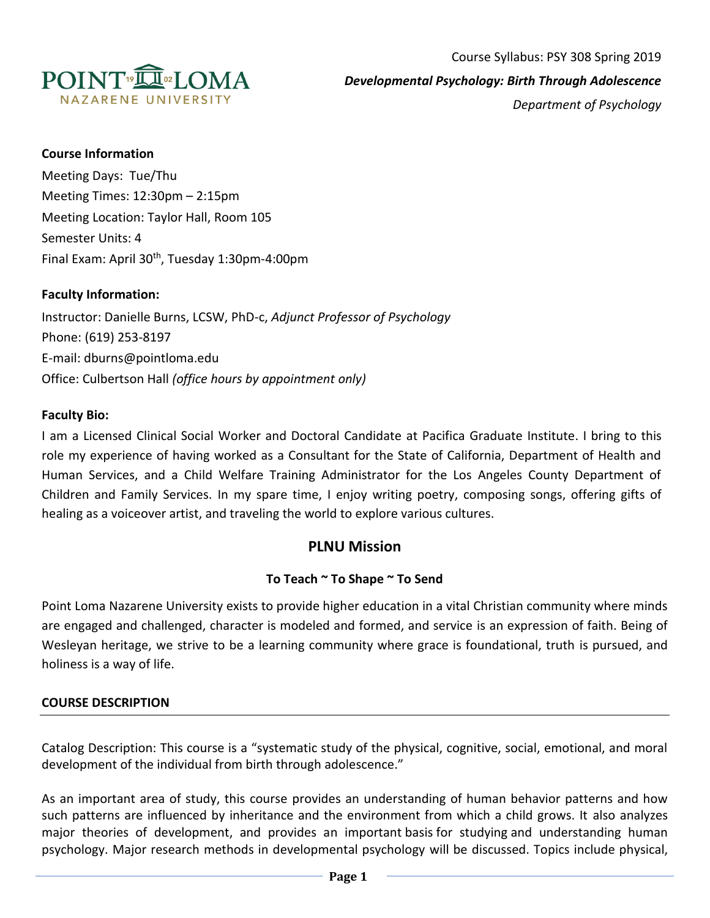

## **Course Information**

Meeting Days: Tue/Thu Meeting Times: 12:30pm – 2:15pm Meeting Location: Taylor Hall, Room 105 Semester Units: 4 Final Exam: April 30<sup>th</sup>, Tuesday 1:30pm-4:00pm

#### **Faculty Information:**

Instructor: Danielle Burns, LCSW, PhD-c, *Adjunct Professor of Psychology* Phone: (619) 253-8197 E-mail: dburns@pointloma.edu Office: Culbertson Hall *(office hours by appointment only)*

#### **Faculty Bio:**

I am a Licensed Clinical Social Worker and Doctoral Candidate at Pacifica Graduate Institute. I bring to this role my experience of having worked as a Consultant for the State of California, Department of Health and Human Services, and a Child Welfare Training Administrator for the Los Angeles County Department of Children and Family Services. In my spare time, I enjoy writing poetry, composing songs, offering gifts of healing as a voiceover artist, and traveling the world to explore various cultures.

# **PLNU Mission**

## **To Teach ~ To Shape ~ To Send**

Point Loma Nazarene University exists to provide higher education in a vital Christian community where minds are engaged and challenged, character is modeled and formed, and service is an expression of faith. Being of Wesleyan heritage, we strive to be a learning community where grace is foundational, truth is pursued, and holiness is a way of life.

#### **COURSE DESCRIPTION**

Catalog Description: This course is a "systematic study of the physical, cognitive, social, emotional, and moral development of the individual from birth through adolescence."

As an important area of study, this course provides an understanding of human behavior patterns and how such patterns are influenced by inheritance and the environment from which a child grows. It also analyzes major theories of development, and provides an important basis for studying and understanding human psychology. Major research methods in developmental psychology will be discussed. Topics include physical,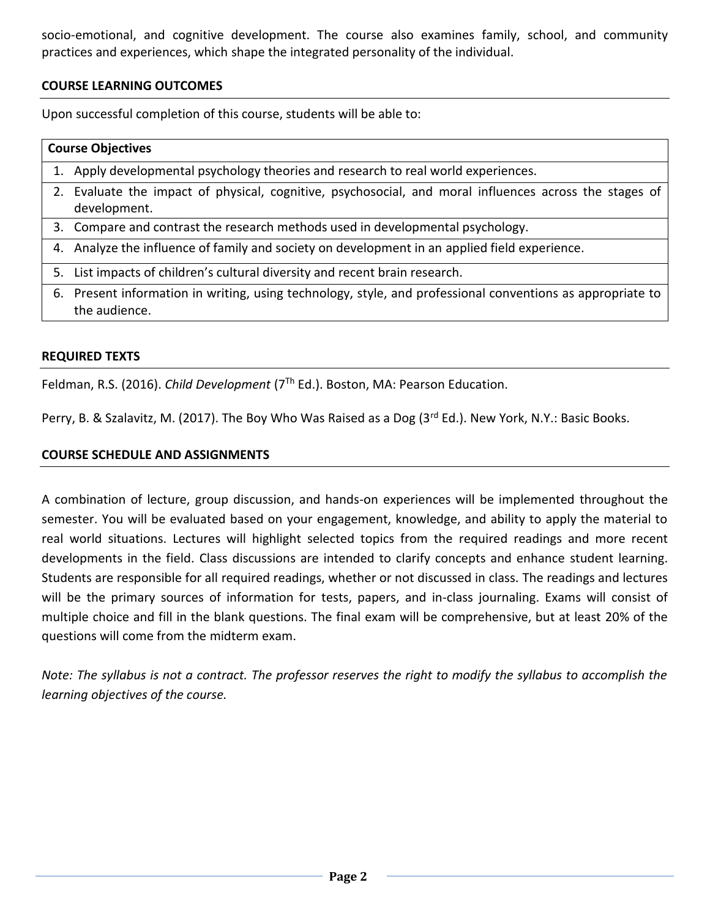socio-emotional, and cognitive development. The course also examines family, school, and community practices and experiences, which shape the integrated personality of the individual.

# **COURSE LEARNING OUTCOMES**

Upon successful completion of this course, students will be able to:

| <b>Course Objectives</b> |                                                                                                                             |  |  |  |
|--------------------------|-----------------------------------------------------------------------------------------------------------------------------|--|--|--|
|                          | 1. Apply developmental psychology theories and research to real world experiences.                                          |  |  |  |
|                          | 2. Evaluate the impact of physical, cognitive, psychosocial, and moral influences across the stages of<br>development.      |  |  |  |
|                          | 3. Compare and contrast the research methods used in developmental psychology.                                              |  |  |  |
|                          | 4. Analyze the influence of family and society on development in an applied field experience.                               |  |  |  |
| 5.                       | List impacts of children's cultural diversity and recent brain research.                                                    |  |  |  |
|                          | 6. Present information in writing, using technology, style, and professional conventions as appropriate to<br>the audience. |  |  |  |

## **REQUIRED TEXTS**

Feldman, R.S. (2016). *Child Development* (7Th Ed.). Boston, MA: Pearson Education.

Perry, B. & Szalavitz, M. (2017). The Boy Who Was Raised as a Dog (3<sup>rd</sup> Ed.). New York, N.Y.: Basic Books.

# **COURSE SCHEDULE AND ASSIGNMENTS**

A combination of lecture, group discussion, and hands-on experiences will be implemented throughout the semester. You will be evaluated based on your engagement, knowledge, and ability to apply the material to real world situations. Lectures will highlight selected topics from the required readings and more recent developments in the field. Class discussions are intended to clarify concepts and enhance student learning. Students are responsible for all required readings, whether or not discussed in class. The readings and lectures will be the primary sources of information for tests, papers, and in-class journaling. Exams will consist of multiple choice and fill in the blank questions. The final exam will be comprehensive, but at least 20% of the questions will come from the midterm exam.

*Note: The syllabus is not a contract. The professor reserves the right to modify the syllabus to accomplish the learning objectives of the course.*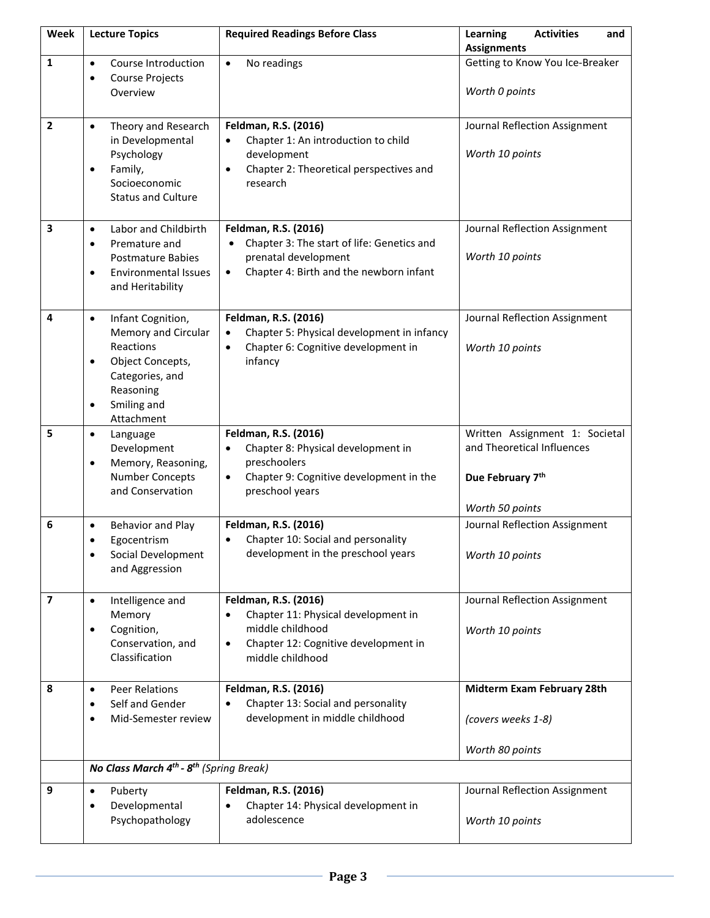| Week                    | <b>Lecture Topics</b>                                                                                                                                                         | <b>Required Readings Before Class</b>                                                                                                                              | Learning<br><b>Activities</b><br>and<br><b>Assignments</b>                                          |
|-------------------------|-------------------------------------------------------------------------------------------------------------------------------------------------------------------------------|--------------------------------------------------------------------------------------------------------------------------------------------------------------------|-----------------------------------------------------------------------------------------------------|
| 1                       | Course Introduction<br>$\bullet$<br>Course Projects<br>$\bullet$<br>Overview                                                                                                  | No readings<br>$\bullet$                                                                                                                                           | Getting to Know You Ice-Breaker<br>Worth 0 points                                                   |
| $\overline{2}$          | Theory and Research<br>$\bullet$<br>in Developmental<br>Psychology<br>Family,<br>$\bullet$<br>Socioeconomic<br><b>Status and Culture</b>                                      | Feldman, R.S. (2016)<br>Chapter 1: An introduction to child<br>$\bullet$<br>development<br>Chapter 2: Theoretical perspectives and<br>$\bullet$<br>research        | Journal Reflection Assignment<br>Worth 10 points                                                    |
| 3                       | Labor and Childbirth<br>$\bullet$<br>Premature and<br>$\bullet$<br><b>Postmature Babies</b><br><b>Environmental Issues</b><br>$\bullet$<br>and Heritability                   | Feldman, R.S. (2016)<br>Chapter 3: The start of life: Genetics and<br>prenatal development<br>Chapter 4: Birth and the newborn infant<br>$\bullet$                 | Journal Reflection Assignment<br>Worth 10 points                                                    |
| 4                       | Infant Cognition,<br>$\bullet$<br>Memory and Circular<br>Reactions<br>Object Concepts,<br>$\bullet$<br>Categories, and<br>Reasoning<br>Smiling and<br>$\bullet$<br>Attachment | Feldman, R.S. (2016)<br>Chapter 5: Physical development in infancy<br>Chapter 6: Cognitive development in<br>$\bullet$<br>infancy                                  | Journal Reflection Assignment<br>Worth 10 points                                                    |
| 5                       | Language<br>$\bullet$<br>Development<br>Memory, Reasoning,<br><b>Number Concepts</b><br>and Conservation                                                                      | Feldman, R.S. (2016)<br>Chapter 8: Physical development in<br>$\bullet$<br>preschoolers<br>Chapter 9: Cognitive development in the<br>$\bullet$<br>preschool years | Written Assignment 1: Societal<br>and Theoretical Influences<br>Due February 7th<br>Worth 50 points |
| 6                       | Behavior and Play<br>$\bullet$<br>Egocentrism<br>Social Development<br>and Aggression                                                                                         | Feldman, R.S. (2016)<br>Chapter 10: Social and personality<br>$\bullet$<br>development in the preschool years                                                      | Journal Reflection Assignment<br>Worth 10 points                                                    |
| $\overline{\mathbf{z}}$ | Intelligence and<br>$\bullet$<br>Memory<br>Cognition,<br>$\bullet$<br>Conservation, and<br>Classification                                                                     | Feldman, R.S. (2016)<br>Chapter 11: Physical development in<br>middle childhood<br>Chapter 12: Cognitive development in<br>$\bullet$<br>middle childhood           | Journal Reflection Assignment<br>Worth 10 points                                                    |
| 8                       | <b>Peer Relations</b><br>$\bullet$<br>Self and Gender<br>$\bullet$<br>Mid-Semester review<br>$\bullet$                                                                        | Feldman, R.S. (2016)<br>Chapter 13: Social and personality<br>development in middle childhood                                                                      | Midterm Exam February 28th<br>(covers weeks 1-8)<br>Worth 80 points                                 |
|                         | No Class March 4 <sup>th</sup> - 8 <sup>th</sup> (Spring Break)                                                                                                               |                                                                                                                                                                    |                                                                                                     |
| 9                       | Puberty<br>$\bullet$<br>Developmental<br>$\bullet$<br>Psychopathology                                                                                                         | Feldman, R.S. (2016)<br>Chapter 14: Physical development in<br>adolescence                                                                                         | Journal Reflection Assignment<br>Worth 10 points                                                    |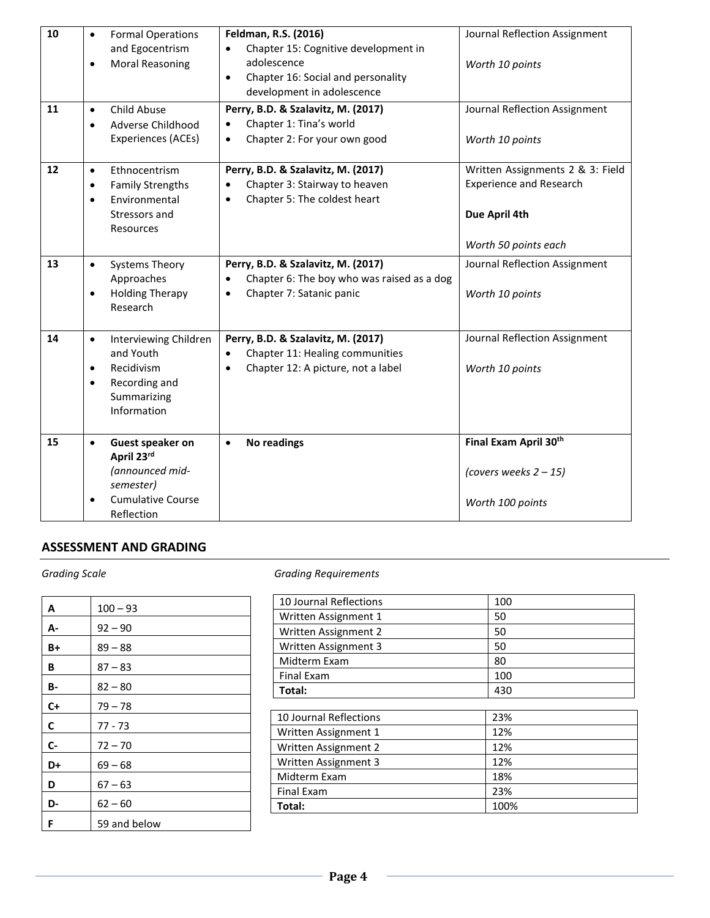| 10 | <b>Formal Operations</b><br>$\bullet$                                                                                                  | Feldman, R.S. (2016)                                                                                                                  | Journal Reflection Assignment                                                                               |
|----|----------------------------------------------------------------------------------------------------------------------------------------|---------------------------------------------------------------------------------------------------------------------------------------|-------------------------------------------------------------------------------------------------------------|
|    | and Egocentrism<br><b>Moral Reasoning</b><br>$\bullet$                                                                                 | Chapter 15: Cognitive development in<br>adolescence<br>Chapter 16: Social and personality<br>$\bullet$<br>development in adolescence  | Worth 10 points                                                                                             |
| 11 | Child Abuse<br>$\bullet$<br>Adverse Childhood<br>$\bullet$<br>Experiences (ACEs)                                                       | Perry, B.D. & Szalavitz, M. (2017)<br>Chapter 1: Tina's world<br>Chapter 2: For your own good<br>$\bullet$                            | Journal Reflection Assignment<br>Worth 10 points                                                            |
| 12 | Ethnocentrism<br>$\bullet$<br><b>Family Strengths</b><br>$\bullet$<br>Environmental<br>$\bullet$<br>Stressors and<br>Resources         | Perry, B.D. & Szalavitz, M. (2017)<br>Chapter 3: Stairway to heaven<br>Chapter 5: The coldest heart<br>$\bullet$                      | Written Assignments 2 & 3: Field<br><b>Experience and Research</b><br>Due April 4th<br>Worth 50 points each |
| 13 | <b>Systems Theory</b><br>$\bullet$<br>Approaches<br><b>Holding Therapy</b><br>$\bullet$<br>Research                                    | Perry, B.D. & Szalavitz, M. (2017)<br>Chapter 6: The boy who was raised as a dog<br>Chapter 7: Satanic panic<br>$\bullet$             | Journal Reflection Assignment<br>Worth 10 points                                                            |
| 14 | Interviewing Children<br>$\bullet$<br>and Youth<br>Recidivism<br>$\bullet$<br>Recording and<br>$\bullet$<br>Summarizing<br>Information | Perry, B.D. & Szalavitz, M. (2017)<br>Chapter 11: Healing communities<br>$\bullet$<br>Chapter 12: A picture, not a label<br>$\bullet$ | Journal Reflection Assignment<br>Worth 10 points                                                            |
| 15 | Guest speaker on<br>$\bullet$<br>April 23rd<br>(announced mid-<br>semester)<br><b>Cumulative Course</b><br>Reflection                  | <b>No readings</b><br>$\bullet$                                                                                                       | Final Exam April 30th<br>(covers weeks $2 - 15$ )<br>Worth 100 points                                       |

# **ASSESSMENT AND GRADING**

| A    | $100 - 93$   |
|------|--------------|
| А-   | $92 - 90$    |
| B+   | $89 - 88$    |
| В    | $87 - 83$    |
| B-   | $82 - 80$    |
| $C+$ | $79 - 78$    |
| C    | 77 - 73      |
| C-   | $72 - 70$    |
| D+   | $69 - 68$    |
| D    | $67 - 63$    |
| D-   | $62 - 60$    |
| F    | 59 and below |

*Grading Scale Grading Requirements*

| <b>10 Journal Reflections</b> | 100  |
|-------------------------------|------|
| Written Assignment 1          | 50   |
| Written Assignment 2          | 50   |
| Written Assignment 3          | 50   |
| Midterm Exam                  | 80   |
| Final Exam                    | 100  |
| Total:                        | 430  |
|                               |      |
| 10 Journal Reflections        | 23%  |
| Written Assignment 1          | 12%  |
| Written Assignment 2          | 12%  |
| Written Assignment 3          | 12%  |
| Midterm Exam                  | 18%  |
| <b>Final Exam</b>             | 23%  |
| Total:                        | 100% |
|                               |      |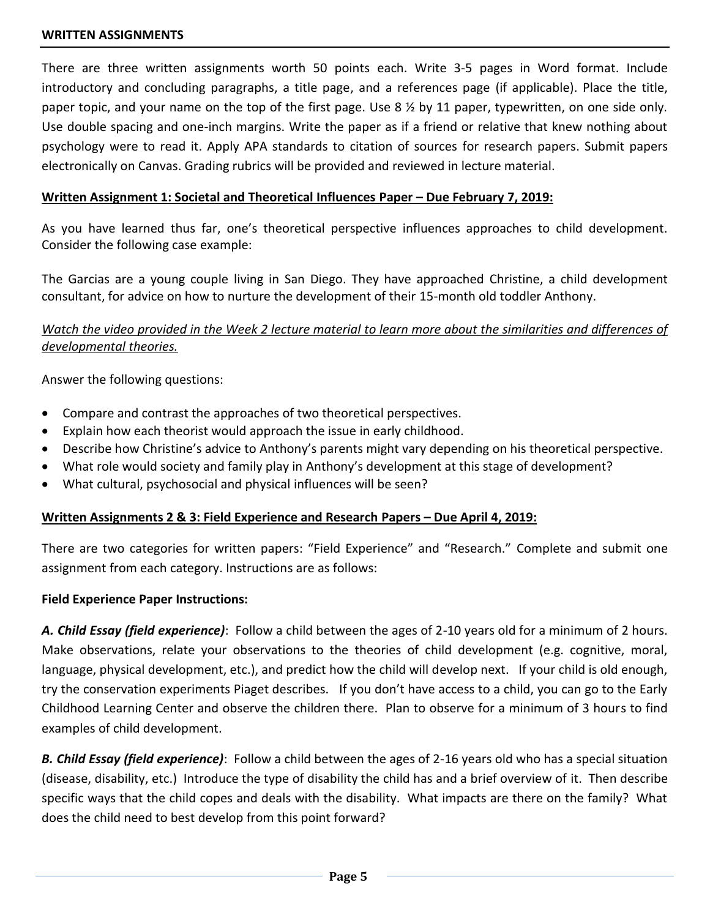#### **WRITTEN ASSIGNMENTS**

There are three written assignments worth 50 points each. Write 3-5 pages in Word format. Include introductory and concluding paragraphs, a title page, and a references page (if applicable). Place the title, paper topic, and your name on the top of the first page. Use 8 ½ by 11 paper, typewritten, on one side only. Use double spacing and one-inch margins. Write the paper as if a friend or relative that knew nothing about psychology were to read it. Apply APA standards to citation of sources for research papers. Submit papers electronically on Canvas. Grading rubrics will be provided and reviewed in lecture material.

# **Written Assignment 1: Societal and Theoretical Influences Paper – Due February 7, 2019:**

As you have learned thus far, one's theoretical perspective influences approaches to child development. Consider the following case example:

The Garcias are a young couple living in San Diego. They have approached Christine, a child development consultant, for advice on how to nurture the development of their 15-month old toddler Anthony.

# *Watch the video provided in the Week 2 lecture material to learn more about the similarities and differences of developmental theories.*

Answer the following questions:

- Compare and contrast the approaches of two theoretical perspectives.
- Explain how each theorist would approach the issue in early childhood.
- Describe how Christine's advice to Anthony's parents might vary depending on his theoretical perspective.
- What role would society and family play in Anthony's development at this stage of development?
- What cultural, psychosocial and physical influences will be seen?

# **Written Assignments 2 & 3: Field Experience and Research Papers – Due April 4, 2019:**

There are two categories for written papers: "Field Experience" and "Research." Complete and submit one assignment from each category. Instructions are as follows:

## **Field Experience Paper Instructions:**

*A. Child Essay (field experience)*: Follow a child between the ages of 2-10 years old for a minimum of 2 hours. Make observations, relate your observations to the theories of child development (e.g. cognitive, moral, language, physical development, etc.), and predict how the child will develop next. If your child is old enough, try the conservation experiments Piaget describes. If you don't have access to a child, you can go to the Early Childhood Learning Center and observe the children there. Plan to observe for a minimum of 3 hours to find examples of child development.

*B. Child Essay (field experience)*: Follow a child between the ages of 2-16 years old who has a special situation (disease, disability, etc.) Introduce the type of disability the child has and a brief overview of it. Then describe specific ways that the child copes and deals with the disability. What impacts are there on the family? What does the child need to best develop from this point forward?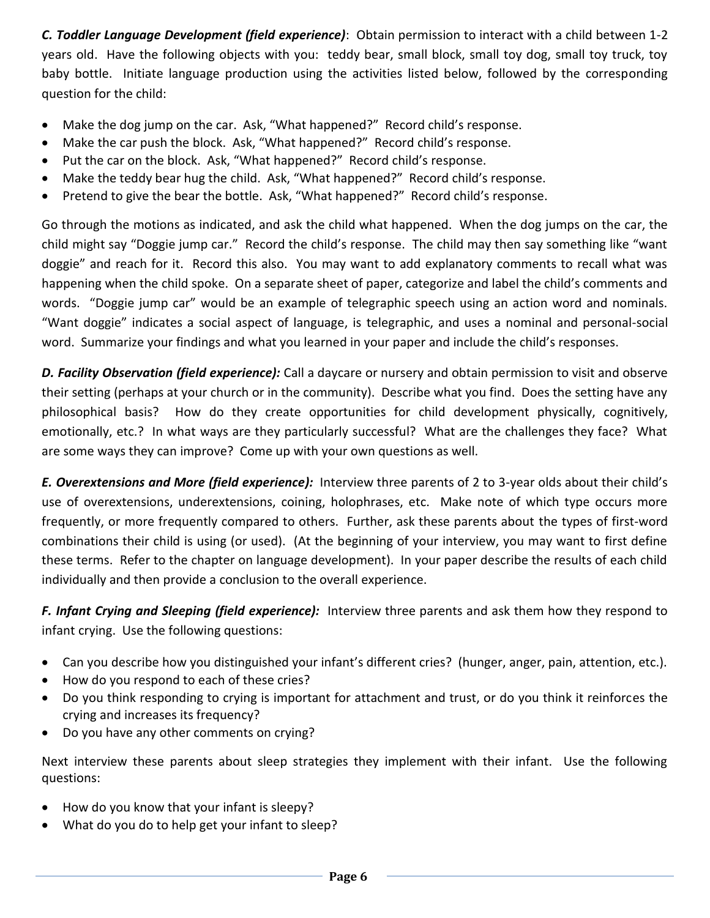*C. Toddler Language Development (field experience)*: Obtain permission to interact with a child between 1-2 years old. Have the following objects with you: teddy bear, small block, small toy dog, small toy truck, toy baby bottle. Initiate language production using the activities listed below, followed by the corresponding question for the child:

- Make the dog jump on the car. Ask, "What happened?" Record child's response.
- Make the car push the block. Ask, "What happened?" Record child's response.
- Put the car on the block. Ask, "What happened?" Record child's response.
- Make the teddy bear hug the child. Ask, "What happened?" Record child's response.
- Pretend to give the bear the bottle. Ask, "What happened?" Record child's response.

Go through the motions as indicated, and ask the child what happened. When the dog jumps on the car, the child might say "Doggie jump car." Record the child's response. The child may then say something like "want doggie" and reach for it. Record this also. You may want to add explanatory comments to recall what was happening when the child spoke. On a separate sheet of paper, categorize and label the child's comments and words. "Doggie jump car" would be an example of telegraphic speech using an action word and nominals. "Want doggie" indicates a social aspect of language, is telegraphic, and uses a nominal and personal-social word. Summarize your findings and what you learned in your paper and include the child's responses.

*D. Facility Observation (field experience):* Call a daycare or nursery and obtain permission to visit and observe their setting (perhaps at your church or in the community). Describe what you find. Does the setting have any philosophical basis? How do they create opportunities for child development physically, cognitively, emotionally, etc.? In what ways are they particularly successful? What are the challenges they face? What are some ways they can improve? Come up with your own questions as well.

*E. Overextensions and More (field experience):* Interview three parents of 2 to 3-year olds about their child's use of overextensions, underextensions, coining, holophrases, etc. Make note of which type occurs more frequently, or more frequently compared to others. Further, ask these parents about the types of first-word combinations their child is using (or used). (At the beginning of your interview, you may want to first define these terms. Refer to the chapter on language development). In your paper describe the results of each child individually and then provide a conclusion to the overall experience.

*F. Infant Crying and Sleeping (field experience):* Interview three parents and ask them how they respond to infant crying. Use the following questions:

- Can you describe how you distinguished your infant's different cries? (hunger, anger, pain, attention, etc.).
- How do you respond to each of these cries?
- Do you think responding to crying is important for attachment and trust, or do you think it reinforces the crying and increases its frequency?
- Do you have any other comments on crying?

Next interview these parents about sleep strategies they implement with their infant. Use the following questions:

- How do you know that your infant is sleepy?
- What do you do to help get your infant to sleep?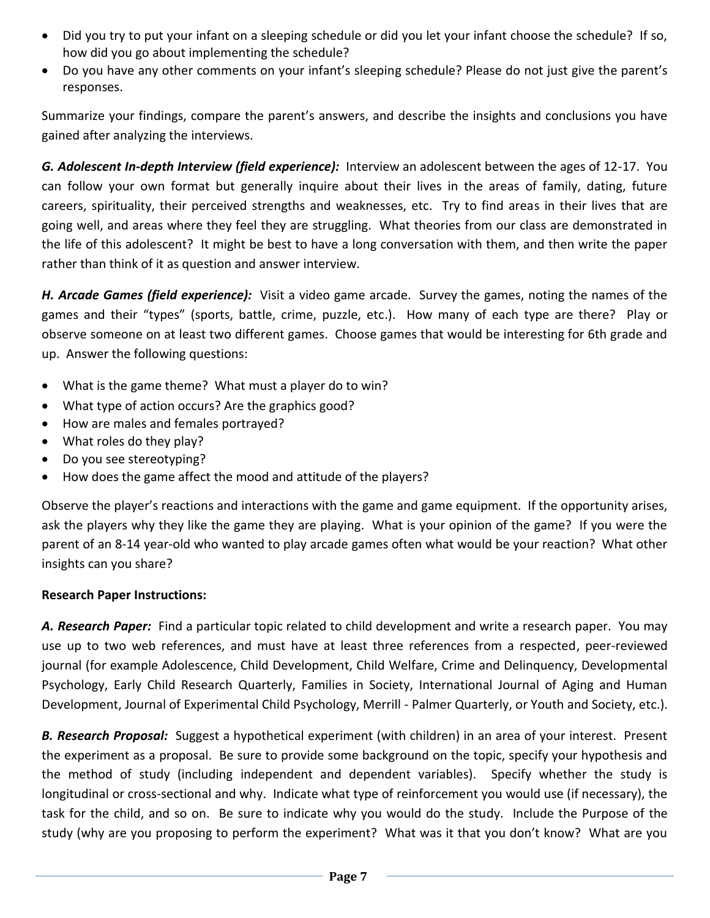- Did you try to put your infant on a sleeping schedule or did you let your infant choose the schedule? If so, how did you go about implementing the schedule?
- Do you have any other comments on your infant's sleeping schedule? Please do not just give the parent's responses.

Summarize your findings, compare the parent's answers, and describe the insights and conclusions you have gained after analyzing the interviews.

*G. Adolescent In-depth Interview (field experience):* Interview an adolescent between the ages of 12-17. You can follow your own format but generally inquire about their lives in the areas of family, dating, future careers, spirituality, their perceived strengths and weaknesses, etc. Try to find areas in their lives that are going well, and areas where they feel they are struggling. What theories from our class are demonstrated in the life of this adolescent? It might be best to have a long conversation with them, and then write the paper rather than think of it as question and answer interview.

*H. Arcade Games (field experience):* Visit a video game arcade. Survey the games, noting the names of the games and their "types" (sports, battle, crime, puzzle, etc.). How many of each type are there? Play or observe someone on at least two different games. Choose games that would be interesting for 6th grade and up. Answer the following questions:

- What is the game theme? What must a player do to win?
- What type of action occurs? Are the graphics good?
- How are males and females portrayed?
- What roles do they play?
- Do you see stereotyping?
- How does the game affect the mood and attitude of the players?

Observe the player's reactions and interactions with the game and game equipment. If the opportunity arises, ask the players why they like the game they are playing. What is your opinion of the game? If you were the parent of an 8-14 year-old who wanted to play arcade games often what would be your reaction? What other insights can you share?

# **Research Paper Instructions:**

*A. Research Paper:* Find a particular topic related to child development and write a research paper. You may use up to two web references, and must have at least three references from a respected, peer-reviewed journal (for example Adolescence, Child Development, Child Welfare, Crime and Delinquency, Developmental Psychology, Early Child Research Quarterly, Families in Society, International Journal of Aging and Human Development, Journal of Experimental Child Psychology, Merrill - Palmer Quarterly, or Youth and Society, etc.).

*B. Research Proposal:* Suggest a hypothetical experiment (with children) in an area of your interest. Present the experiment as a proposal. Be sure to provide some background on the topic, specify your hypothesis and the method of study (including independent and dependent variables). Specify whether the study is longitudinal or cross-sectional and why. Indicate what type of reinforcement you would use (if necessary), the task for the child, and so on. Be sure to indicate why you would do the study. Include the Purpose of the study (why are you proposing to perform the experiment? What was it that you don't know? What are you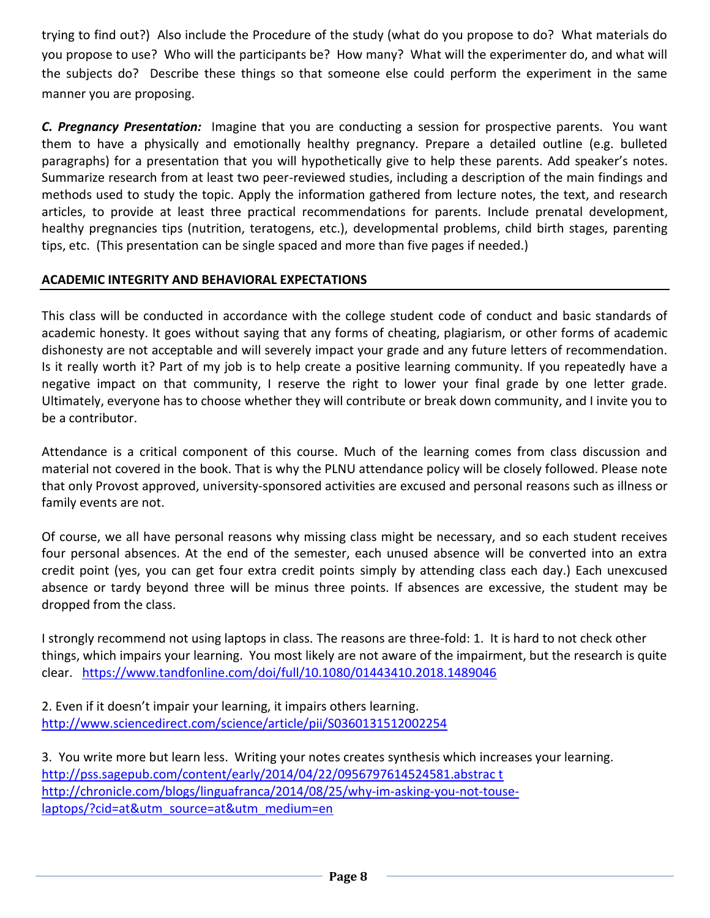trying to find out?) Also include the Procedure of the study (what do you propose to do? What materials do you propose to use? Who will the participants be? How many? What will the experimenter do, and what will the subjects do? Describe these things so that someone else could perform the experiment in the same manner you are proposing.

*C. Pregnancy Presentation:* Imagine that you are conducting a session for prospective parents. You want them to have a physically and emotionally healthy pregnancy. Prepare a detailed outline (e.g. bulleted paragraphs) for a presentation that you will hypothetically give to help these parents. Add speaker's notes. Summarize research from at least two peer-reviewed studies, including a description of the main findings and methods used to study the topic. Apply the information gathered from lecture notes, the text, and research articles, to provide at least three practical recommendations for parents. Include prenatal development, healthy pregnancies tips (nutrition, teratogens, etc.), developmental problems, child birth stages, parenting tips, etc. (This presentation can be single spaced and more than five pages if needed.)

# **ACADEMIC INTEGRITY AND BEHAVIORAL EXPECTATIONS**

This class will be conducted in accordance with the college student code of conduct and basic standards of academic honesty. It goes without saying that any forms of cheating, plagiarism, or other forms of academic dishonesty are not acceptable and will severely impact your grade and any future letters of recommendation. Is it really worth it? Part of my job is to help create a positive learning community. If you repeatedly have a negative impact on that community, I reserve the right to lower your final grade by one letter grade. Ultimately, everyone has to choose whether they will contribute or break down community, and I invite you to be a contributor.

Attendance is a critical component of this course. Much of the learning comes from class discussion and material not covered in the book. That is why the PLNU attendance policy will be closely followed. Please note that only Provost approved, university-sponsored activities are excused and personal reasons such as illness or family events are not.

Of course, we all have personal reasons why missing class might be necessary, and so each student receives four personal absences. At the end of the semester, each unused absence will be converted into an extra credit point (yes, you can get four extra credit points simply by attending class each day.) Each unexcused absence or tardy beyond three will be minus three points. If absences are excessive, the student may be dropped from the class.

I strongly recommend not using laptops in class. The reasons are three-fold: 1. It is hard to not check other things, which impairs your learning. You most likely are not aware of the impairment, but the research is quite clear. <https://www.tandfonline.com/doi/full/10.1080/01443410.2018.1489046>

2. Even if it doesn't impair your learning, it impairs others learning. <http://www.sciencedirect.com/science/article/pii/S0360131512002254>

3. You write more but learn less. Writing your notes creates synthesis which increases your learning. [http://pss.sagepub.com/content/early/2014/04/22/0956797614524581.abstrac t](http://pss.sagepub.com/content/early/2014/04/22/0956797614524581.abstrac%20t) [http://chronicle.com/blogs/linguafranca/2014/08/25/why-im-asking-you-not-touse](http://chronicle.com/blogs/linguafranca/2014/08/25/why-im-asking-you-not-touse-laptops/?cid=at&utm_source=at&utm_medium=en%20)[laptops/?cid=at&utm\\_source=at&utm\\_medium=en](http://chronicle.com/blogs/linguafranca/2014/08/25/why-im-asking-you-not-touse-laptops/?cid=at&utm_source=at&utm_medium=en%20)